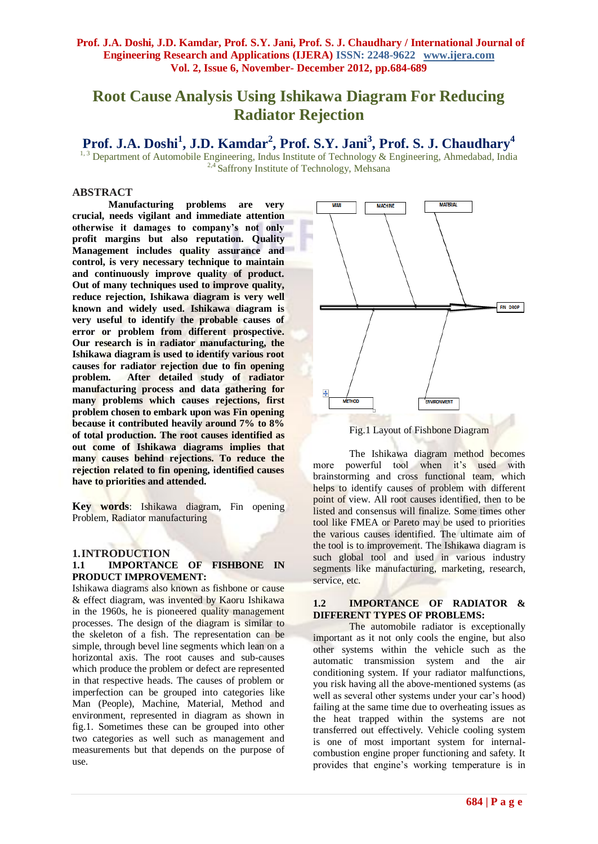# **Root Cause Analysis Using Ishikawa Diagram For Reducing Radiator Rejection**

# **Prof. J.A. Doshi<sup>1</sup> , J.D. Kamdar<sup>2</sup> , Prof. S.Y. Jani<sup>3</sup> , Prof. S. J. Chaudhary<sup>4</sup>**

<sup>1, 3</sup> Department of Automobile Engineering, Indus Institute of Technology & Engineering, Ahmedabad, India <sup>2,4</sup> Saffrony Institute of Technology, Mehsana

# **ABSTRACT**

**Manufacturing problems are very crucial, needs vigilant and immediate attention otherwise it damages to company's not only profit margins but also reputation. Quality Management includes quality assurance and control, is very necessary technique to maintain and continuously improve quality of product. Out of many techniques used to improve quality, reduce rejection, Ishikawa diagram is very well known and widely used. Ishikawa diagram is very useful to identify the probable causes of error or problem from different prospective. Our research is in radiator manufacturing, the Ishikawa diagram is used to identify various root causes for radiator rejection due to fin opening problem. After detailed study of radiator manufacturing process and data gathering for many problems which causes rejections, first problem chosen to embark upon was Fin opening because it contributed heavily around 7% to 8% of total production. The root causes identified as out come of Ishikawa diagrams implies that many causes behind rejections. To reduce the rejection related to fin opening, identified causes have to priorities and attended.** 

**Key words**: Ishikawa diagram, Fin opening Problem, Radiator manufacturing

### **1.INTRODUCTION**

#### **1.1 IMPORTANCE OF FISHBONE IN PRODUCT IMPROVEMENT:**

Ishikawa diagrams also known as fishbone or cause & effect diagram, was invented by Kaoru Ishikawa in the 1960s, he is pioneered quality management processes. The design of the diagram is similar to the skeleton of a fish. The representation can be simple, through bevel line segments which lean on a horizontal axis. The root causes and sub-causes which produce the problem or defect are represented in that respective heads. The causes of problem or imperfection can be grouped into categories like Man (People), Machine, Material, Method and environment, represented in diagram as shown in fig.1. Sometimes these can be grouped into other two categories as well such as management and measurements but that depends on the purpose of use.



Fig.1 Layout of Fishbone Diagram

The Ishikawa diagram method becomes more powerful tool when it's used with brainstorming and cross functional team, which helps to identify causes of problem with different point of view. All root causes identified, then to be listed and consensus will finalize. Some times other tool like FMEA or Pareto may be used to priorities the various causes identified. The ultimate aim of the tool is to improvement. The Ishikawa diagram is such global tool and used in various industry segments like manufacturing, marketing, research, service, etc.

#### **1.2 IMPORTANCE OF RADIATOR & DIFFERENT TYPES OF PROBLEMS:**

The automobile radiator is exceptionally important as it not only cools the engine, but also other systems within the vehicle such as the automatic transmission system and the air conditioning system. If your radiator malfunctions, you risk having all the above-mentioned systems (as well as several other systems under your car's hood) failing at the same time due to overheating issues as the heat trapped within the systems are not transferred out effectively. Vehicle cooling system is one of most important system for internalcombustion engine proper functioning and safety. It provides that engine's working temperature is in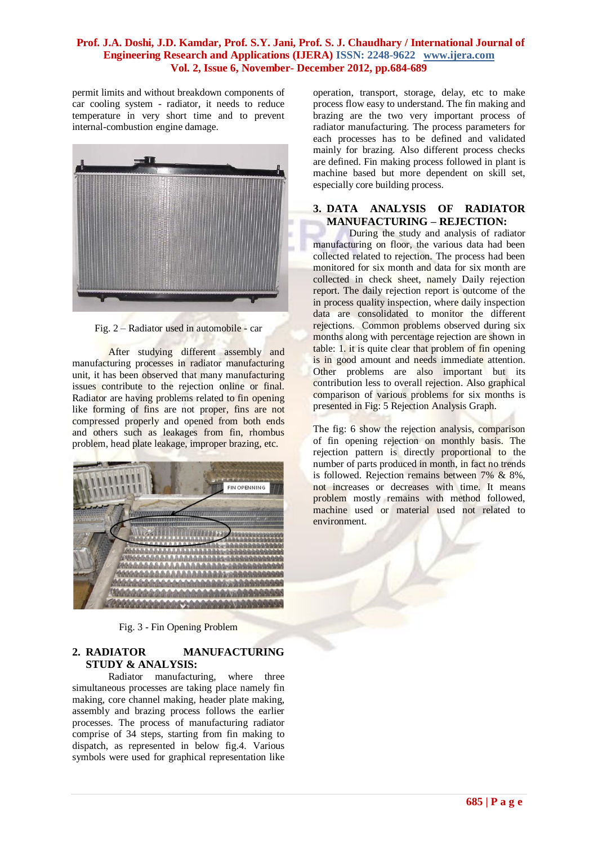permit limits and without breakdown components of car cooling system - radiator, it needs to reduce temperature in very short time and to prevent internal-combustion engine damage.



Fig. 2 – Radiator used in automobile - car

After studying different assembly and manufacturing processes in radiator manufacturing unit, it has been observed that many manufacturing issues contribute to the rejection online or final. Radiator are having problems related to fin opening like forming of fins are not proper, fins are not compressed properly and opened from both ends and others such as leakages from fin, rhombus problem, head plate leakage, improper brazing, etc.



Fig. 3 - Fin Opening Problem

## **2. RADIATOR MANUFACTURING STUDY & ANALYSIS:**

Radiator manufacturing, where three simultaneous processes are taking place namely fin making, core channel making, header plate making, assembly and brazing process follows the earlier processes. The process of manufacturing radiator comprise of 34 steps, starting from fin making to dispatch, as represented in below fig.4. Various symbols were used for graphical representation like

operation, transport, storage, delay, etc to make process flow easy to understand. The fin making and brazing are the two very important process of radiator manufacturing. The process parameters for each processes has to be defined and validated mainly for brazing. Also different process checks are defined. Fin making process followed in plant is machine based but more dependent on skill set, especially core building process.

## **3. DATA ANALYSIS OF RADIATOR MANUFACTURING – REJECTION:**

During the study and analysis of radiator manufacturing on floor, the various data had been collected related to rejection. The process had been monitored for six month and data for six month are collected in check sheet, namely Daily rejection report. The daily rejection report is outcome of the in process quality inspection, where daily inspection data are consolidated to monitor the different rejections. Common problems observed during six months along with percentage rejection are shown in table: 1. it is quite clear that problem of fin opening is in good amount and needs immediate attention. Other problems are also important but its contribution less to overall rejection. Also graphical comparison of various problems for six months is presented in Fig: 5 Rejection Analysis Graph.

The fig: 6 show the rejection analysis, comparison of fin opening rejection on monthly basis. The rejection pattern is directly proportional to the number of parts produced in month, in fact no trends is followed. Rejection remains between 7% & 8%, not increases or decreases with time. It means problem mostly remains with method followed, machine used or material used not related to environment.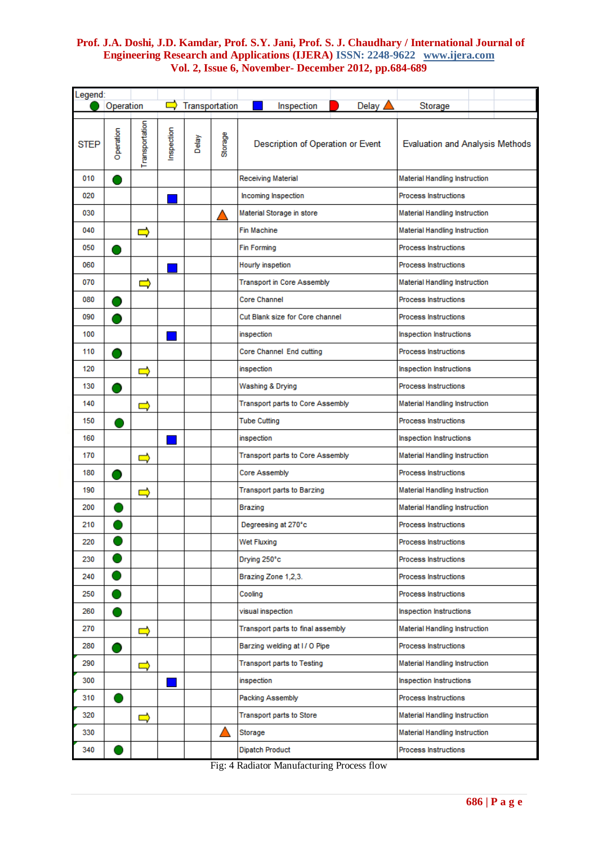| Legend:     |           |                |           |                |         |                                   |       |                                        |  |  |
|-------------|-----------|----------------|-----------|----------------|---------|-----------------------------------|-------|----------------------------------------|--|--|
|             | Operation |                |           | Transportation |         | Inspection                        | Delay | Storage                                |  |  |
| <b>STEP</b> | Operation | Transportation | nspection | Delay          | Storage | Description of Operation or Event |       | <b>Evaluation and Analysis Methods</b> |  |  |
| 010         |           |                |           |                |         | Receiving Material                |       | <b>Material Handling Instruction</b>   |  |  |
| 020         |           |                |           |                |         | Incoming Inspection               |       | Process Instructions                   |  |  |
| 030         |           |                |           |                |         | Material Storage in store         |       | <b>Material Handling Instruction</b>   |  |  |
| 040         |           | $\Rightarrow$  |           |                |         | <b>Fin Machine</b>                |       | <b>Material Handling Instruction</b>   |  |  |
| 050         |           |                |           |                |         | Fin Forming                       |       | <b>Process Instructions</b>            |  |  |
| 060         |           |                |           |                |         | Hourly inspetion                  |       | <b>Process Instructions</b>            |  |  |
| 070         |           | $\Rightarrow$  |           |                |         | <b>Transport in Core Assembly</b> |       | <b>Material Handling Instruction</b>   |  |  |
| 080         |           |                |           |                |         | <b>Core Channel</b>               |       | Process Instructions                   |  |  |
| 090         |           |                |           |                |         | Cut Blank size for Core channel   |       | <b>Process Instructions</b>            |  |  |
| 100         |           |                |           |                |         | inspection                        |       | Inspection Instructions                |  |  |
| 110         |           |                |           |                |         | Core Channel End cutting          |       | <b>Process Instructions</b>            |  |  |
| 120         |           | $\Rightarrow$  |           |                |         | inspection                        |       | <b>Inspection Instructions</b>         |  |  |
| 130         |           |                |           |                |         | Washing & Drying                  |       | <b>Process Instructions</b>            |  |  |
| 140         |           | $\Rightarrow$  |           |                |         | Transport parts to Core Assembly  |       | Material Handling Instruction          |  |  |
| 150         |           |                |           |                |         | <b>Tube Cutting</b>               |       | <b>Process Instructions</b>            |  |  |
| 160         |           |                |           |                |         | inspection                        |       | Inspection Instructions                |  |  |
| 170         |           | ⇨              |           |                |         | Transport parts to Core Assembly  |       | <b>Material Handling Instruction</b>   |  |  |
| 180         |           |                |           |                |         | Core Assembly                     |       | <b>Process Instructions</b>            |  |  |
| 190         |           | $\Rightarrow$  |           |                |         | <b>Transport parts to Barzing</b> |       | <b>Material Handling Instruction</b>   |  |  |
| 200         |           |                |           |                |         | Brazing                           |       | Material Handling Instruction          |  |  |
| 210         |           |                |           |                |         | Degreesing at 270°c               |       | <b>Process Instructions</b>            |  |  |
| 220         |           |                |           |                |         | Wet Fluxing                       |       | Process Instructions                   |  |  |
| 230         |           |                |           |                |         | Drying 250°c                      |       | Process Instructions                   |  |  |
| 240         |           |                |           |                |         | Brazing Zone 1,2,3.               |       | <b>Process Instructions</b>            |  |  |
| 250         |           |                |           |                |         | Cooling                           |       | Process Instructions                   |  |  |
| 260         |           |                |           |                |         | visual inspection                 |       | Inspection Instructions                |  |  |
| 270         |           | $\Rightarrow$  |           |                |         | Transport parts to final assembly |       | <b>Material Handling Instruction</b>   |  |  |
| 280         |           |                |           |                |         | Barzing welding at I/O Pipe       |       | Process Instructions                   |  |  |
| 290         |           | $\Rightarrow$  |           |                |         | <b>Transport parts to Testing</b> |       | Material Handling Instruction          |  |  |
| 300         |           |                |           |                |         | inspection                        |       | Inspection Instructions                |  |  |
| 310         |           |                |           |                |         | Packing Assembly                  |       | Process Instructions                   |  |  |
| 320         |           | $\Rightarrow$  |           |                |         | Transport parts to Store          |       | Material Handling Instruction          |  |  |
| 330         |           |                |           |                |         | Storage                           |       | Material Handling Instruction          |  |  |
| 340         |           |                |           |                |         | Dipatch Product                   |       | Process Instructions                   |  |  |

Fig: 4 Radiator Manufacturing Process flow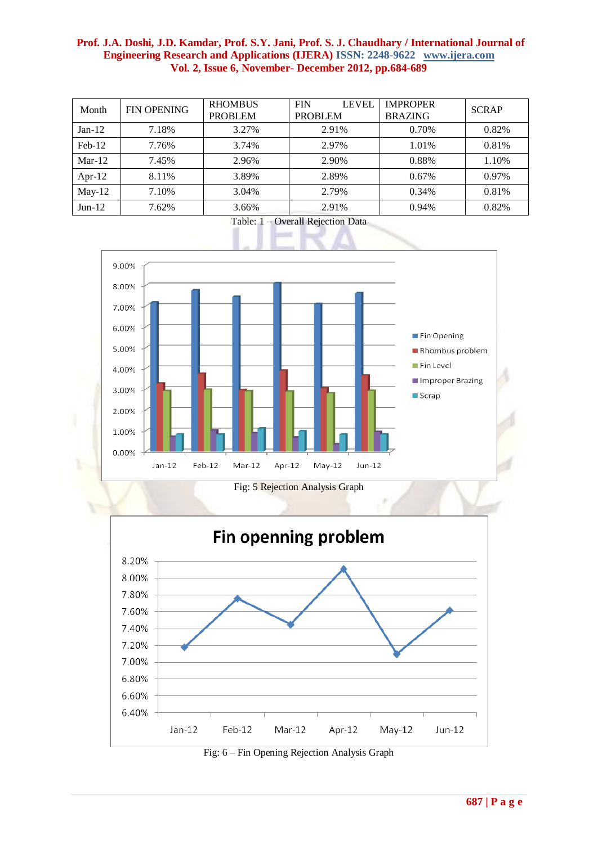| Month     | <b>FIN OPENING</b> | <b>RHOMBUS</b><br><b>PROBLEM</b> | <b>FIN</b><br>LEVEL<br><b>PROBLEM</b> | <b>IMPROPER</b><br><b>BRAZING</b> | <b>SCRAP</b> |
|-----------|--------------------|----------------------------------|---------------------------------------|-----------------------------------|--------------|
| $Jan-12$  | 7.18%              | 3.27%                            | 2.91%                                 | 0.70%                             | 0.82%        |
| $Feb-12$  | 7.76%              | 3.74%                            | 2.97%                                 | 1.01%                             | 0.81%        |
| $Mar-12$  | 7.45%              | 2.96%                            | 2.90%                                 | 0.88%                             | 1.10%        |
| Apr- $12$ | 8.11%              | 3.89%                            | 2.89%                                 | 0.67%                             | $0.97\%$     |
| $May-12$  | 7.10%              | 3.04%                            | 2.79%                                 | 0.34%                             | 0.81%        |
| $Jun-12$  | 7.62%              | 3.66%                            | 2.91%                                 | 0.94%                             | 0.82%        |



Table: 1 – Overall Rejection Data



Fig: 6 – Fin Opening Rejection Analysis Graph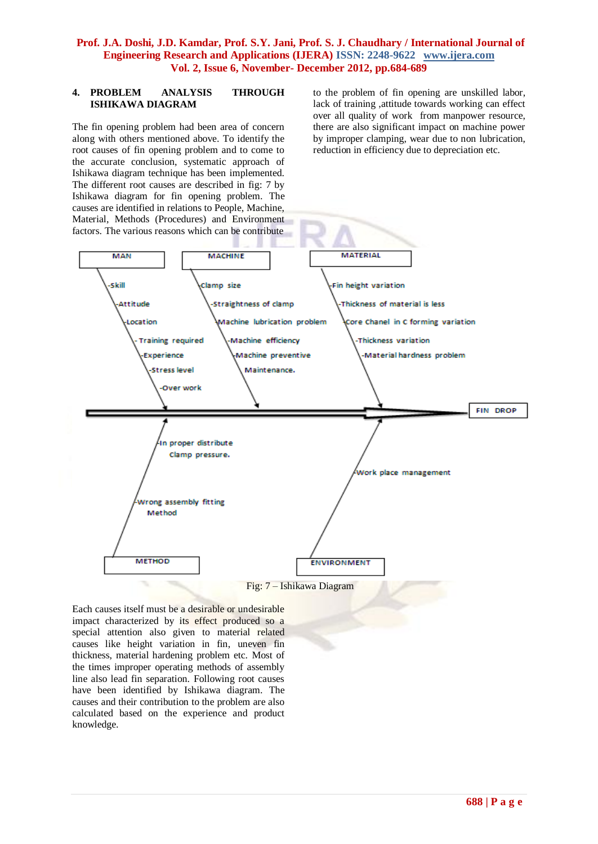### **4. PROBLEM ANALYSIS THROUGH ISHIKAWA DIAGRAM**

The fin opening problem had been area of concern along with others mentioned above. To identify the root causes of fin opening problem and to come to the accurate conclusion, systematic approach of Ishikawa diagram technique has been implemented. The different root causes are described in fig: 7 by Ishikawa diagram for fin opening problem. The causes are identified in relations to People, Machine, Material, Methods (Procedures) and Environment factors. The various reasons which can be contribute

to the problem of fin opening are unskilled labor, lack of training ,attitude towards working can effect over all quality of work from manpower resource, there are also significant impact on machine power by improper clamping, wear due to non lubrication, reduction in efficiency due to depreciation etc.



# Fig: 7 – Ishikawa Diagram

Each causes itself must be a desirable or undesirable impact characterized by its effect produced so a special attention also given to material related causes like height variation in fin, uneven fin thickness, material hardening problem etc. Most of the times improper operating methods of assembly line also lead fin separation. Following root causes have been identified by Ishikawa diagram. The causes and their contribution to the problem are also calculated based on the experience and product knowledge.